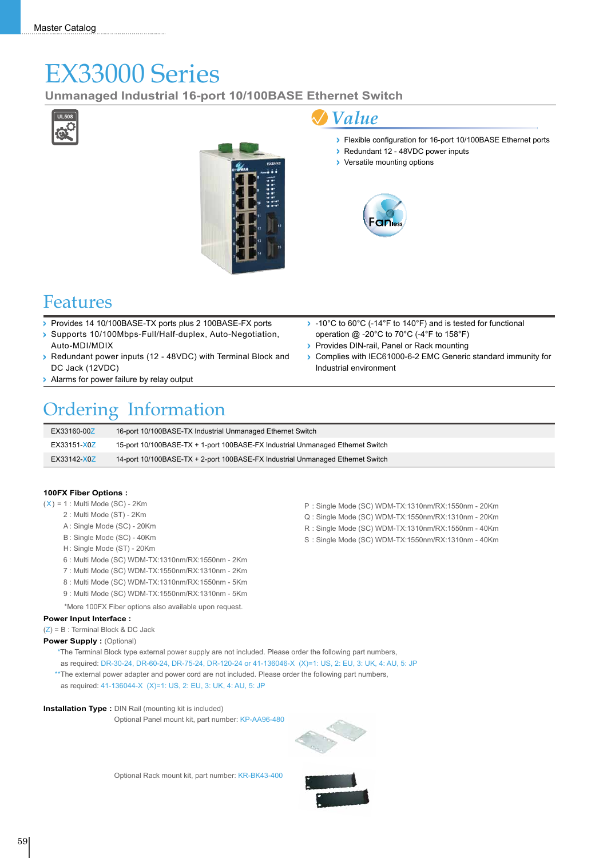# EX33000 Series

**Unmanaged Industrial 16-port 10/100BASE Ethernet Switch**





### *Value*

- Flexible configuration for 16-port 10/100BASE Ethernet ports
- ▶ Redundant 12 48VDC power inputs
- > Versatile mounting options



### Features

- Provides 14 10/100BASE-TX ports plus 2 100BASE-FX ports
- Supports 10/100Mbps-Full/Half-duplex, Auto-Negotiation, Auto-MDI/MDIX
- Redundant power inputs (12 48VDC) with Terminal Block and DC Jack (12VDC)
- > Alarms for power failure by relay output

#### operation @ -20°C to 70°C (-4°F to 158°F) Provides DIN-rail, Panel or Rack mounting

-10°C to 60°C (-14°F to 140°F) and is tested for functional

P : Single Mode (SC) WDM-TX:1310nm/RX:1550nm - 20Km Q : Single Mode (SC) WDM-TX:1550nm/RX:1310nm - 20Km R : Single Mode (SC) WDM-TX:1310nm/RX:1550nm - 40Km S: Single Mode (SC) WDM-TX:1550nm/RX:1310nm - 40Km

Complies with IEC61000-6-2 EMC Generic standard immunity for Industrial environment

## Ordering Information

| EX33160-00Z | 16-port 10/100BASE-TX Industrial Unmanaged Ethernet Switch                     |
|-------------|--------------------------------------------------------------------------------|
| EX33151-X0Z | 15-port 10/100BASE-TX + 1-port 100BASE-FX Industrial Unmanaged Ethernet Switch |
| EX33142-X0Z | 14-port 10/100BASE-TX + 2-port 100BASE-FX Industrial Unmanaged Ethernet Switch |

#### **100FX Fiber Options :**

- $(X) = 1$ : Multi Mode (SC) 2Km
	- 2 : Multi Mode (ST) 2Km
	- A: Single Mode (SC) 20Km
	- B: Single Mode (SC) 40Km
	- H: Single Mode (ST) 20Km
	- 6 : Multi Mode (SC) WDM-TX:1310nm/RX:1550nm 2Km
	- 7 : Multi Mode (SC) WDM-TX:1550nm/RX:1310nm 2Km
	- 8 : Multi Mode (SC) WDM-TX:1310nm/RX:1550nm 5Km
	- 9 : Multi Mode (SC) WDM-TX:1550nm/RX:1310nm 5Km
	- \*More 100FX Fiber options also available upon request.

#### **Power Input Interface :**

(Z) = B : Terminal Block & DC Jack

#### **Power Supply : (Optional)**

\*The Terminal Block type external power supply are not included. Please order the following part numbers, as required: DR-30-24, DR-60-24, DR-75-24, DR-120-24 or 41-136046-X (X)=1: US, 2: EU, 3: UK, 4: AU, 5: JP \*\* The external power adapter and power cord are not included. Please order the following part numbers, as required: 41-136044-X (X)=1: US, 2: EU, 3: UK, 4: AU, 5: JP

#### **Installation Type :** DIN Rail (mounting kit is included)

Optional Panel mount kit, part number: KP-AA96-480